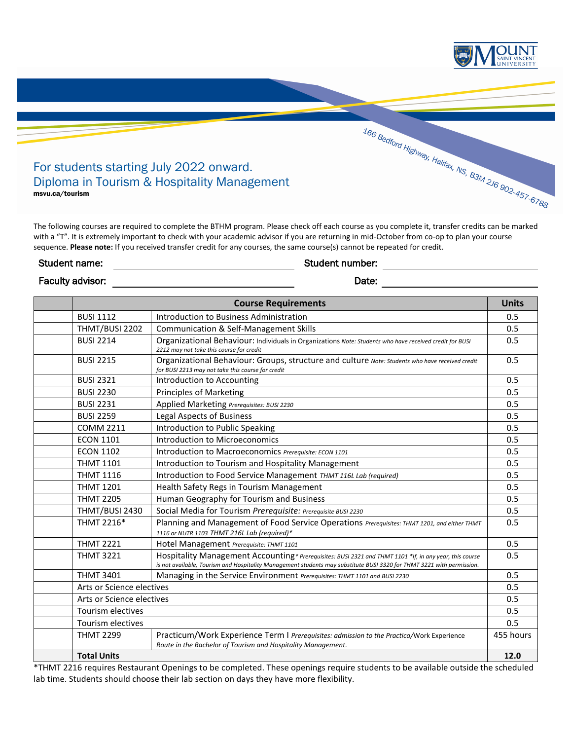

The following courses are required to complete the BTHM program. Please check off each course as you complete it, transfer credits can be marked with a "T". It is extremely important to check with your academic advisor if you are returning in mid-October from co-op to plan your course sequence. **Please note:** If you received transfer credit for any courses, the same course(s) cannot be repeated for credit.

## Student name: Student number:

Faculty advisor: Date:

| <b>Course Requirements</b> |                                                                                                                                                                                                                                  | <b>Units</b> |
|----------------------------|----------------------------------------------------------------------------------------------------------------------------------------------------------------------------------------------------------------------------------|--------------|
| <b>BUSI 1112</b>           | Introduction to Business Administration                                                                                                                                                                                          | 0.5          |
| THMT/BUSI 2202             | Communication & Self-Management Skills                                                                                                                                                                                           | 0.5          |
| <b>BUSI 2214</b>           | Organizational Behaviour: Individuals in Organizations Note: Students who have received credit for BUSI<br>2212 may not take this course for credit                                                                              | 0.5          |
| <b>BUSI 2215</b>           | Organizational Behaviour: Groups, structure and culture Note: Students who have received credit<br>for BUSI 2213 may not take this course for credit                                                                             | 0.5          |
| <b>BUSI 2321</b>           | Introduction to Accounting                                                                                                                                                                                                       | 0.5          |
| <b>BUSI 2230</b>           | <b>Principles of Marketing</b>                                                                                                                                                                                                   | 0.5          |
| <b>BUSI 2231</b>           | Applied Marketing Prerequisites: BUSI 2230                                                                                                                                                                                       | 0.5          |
| <b>BUSI 2259</b>           | <b>Legal Aspects of Business</b>                                                                                                                                                                                                 | 0.5          |
| <b>COMM 2211</b>           | Introduction to Public Speaking                                                                                                                                                                                                  | 0.5          |
| <b>ECON 1101</b>           | Introduction to Microeconomics                                                                                                                                                                                                   | 0.5          |
| <b>ECON 1102</b>           | Introduction to Macroeconomics Prerequisite: ECON 1101                                                                                                                                                                           | 0.5          |
| <b>THMT 1101</b>           | Introduction to Tourism and Hospitality Management                                                                                                                                                                               | 0.5          |
| <b>THMT 1116</b>           | Introduction to Food Service Management THMT 116L Lab (required)                                                                                                                                                                 | 0.5          |
| <b>THMT 1201</b>           | Health Safety Regs in Tourism Management                                                                                                                                                                                         | 0.5          |
| <b>THMT 2205</b>           | Human Geography for Tourism and Business                                                                                                                                                                                         | 0.5          |
| THMT/BUSI 2430             | Social Media for Tourism Prerequisite: Prerequisite BUSI 2230                                                                                                                                                                    | 0.5          |
| THMT 2216*                 | Planning and Management of Food Service Operations Prerequisites: THMT 1201, and either THMT<br>1116 or NUTR 1103 THMT 216L Lab (required)*                                                                                      | 0.5          |
| <b>THMT 2221</b>           | Hotel Management Prerequisite: THMT 1101                                                                                                                                                                                         | 0.5          |
| <b>THMT 3221</b>           | Hospitality Management Accounting* Prerequisites: BUSI 2321 and THMT 1101 *If, in any year, this course<br>is not available, Tourism and Hospitality Management students may substitute BUSI 3320 for THMT 3221 with permission. | 0.5          |
| <b>THMT 3401</b>           | Managing in the Service Environment Prerequisites: THMT 1101 and BUSI 2230                                                                                                                                                       | 0.5          |
| Arts or Science electives  |                                                                                                                                                                                                                                  | 0.5          |
| Arts or Science electives  |                                                                                                                                                                                                                                  | 0.5          |
| Tourism electives          |                                                                                                                                                                                                                                  | 0.5          |
| <b>Tourism electives</b>   |                                                                                                                                                                                                                                  | 0.5          |
| <b>THMT 2299</b>           | Practicum/Work Experience Term I Prerequisites: admission to the Practica/Work Experience<br>Route in the Bachelor of Tourism and Hospitality Management.                                                                        | 455 hours    |
| <b>Total Units</b>         |                                                                                                                                                                                                                                  | 12.0         |

\*THMT 2216 requires Restaurant Openings to be completed. These openings require students to be available outside the scheduled lab time. Students should choose their lab section on days they have more flexibility.